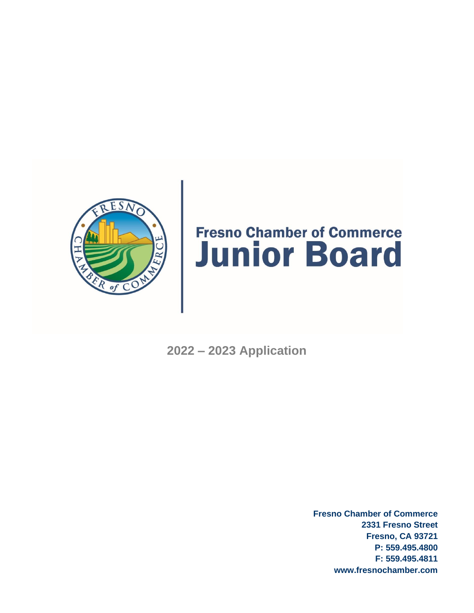

# **Fresno Chamber of Commerce Junior Board**

**2022 – 2023 Application**

**Fresno Chamber of Commerce 2331 Fresno Street Fresno, CA 93721 P: 559.495.4800 F: 559.495.4811 www.fresnochamber.com**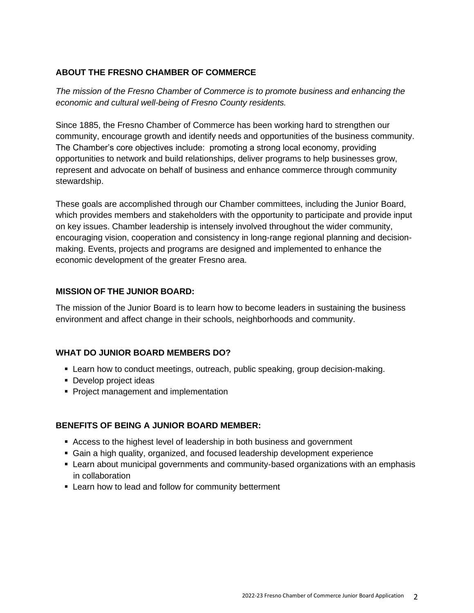#### **ABOUT THE FRESNO CHAMBER OF COMMERCE**

*The mission of the Fresno Chamber of Commerce is to promote business and enhancing the economic and cultural well-being of Fresno County residents.*

Since 1885, the Fresno Chamber of Commerce has been working hard to strengthen our community, encourage growth and identify needs and opportunities of the business community. The Chamber's core objectives include: promoting a strong local economy, providing opportunities to network and build relationships, deliver programs to help businesses grow, represent and advocate on behalf of business and enhance commerce through community stewardship.

These goals are accomplished through our Chamber committees, including the Junior Board, which provides members and stakeholders with the opportunity to participate and provide input on key issues. Chamber leadership is intensely involved throughout the wider community, encouraging vision, cooperation and consistency in long-range regional planning and decisionmaking. Events, projects and programs are designed and implemented to enhance the economic development of the greater Fresno area.

#### **MISSION OF THE JUNIOR BOARD:**

The mission of the Junior Board is to learn how to become leaders in sustaining the business environment and affect change in their schools, neighborhoods and community.

#### **WHAT DO JUNIOR BOARD MEMBERS DO?**

- Learn how to conduct meetings, outreach, public speaking, group decision-making.
- Develop project ideas
- **Project management and implementation**

#### **BENEFITS OF BEING A JUNIOR BOARD MEMBER:**

- Access to the highest level of leadership in both business and government
- **Gain a high quality, organized, and focused leadership development experience**
- **EXTER 1** Learn about municipal governments and community-based organizations with an emphasis in collaboration
- **EXECT** Learn how to lead and follow for community betterment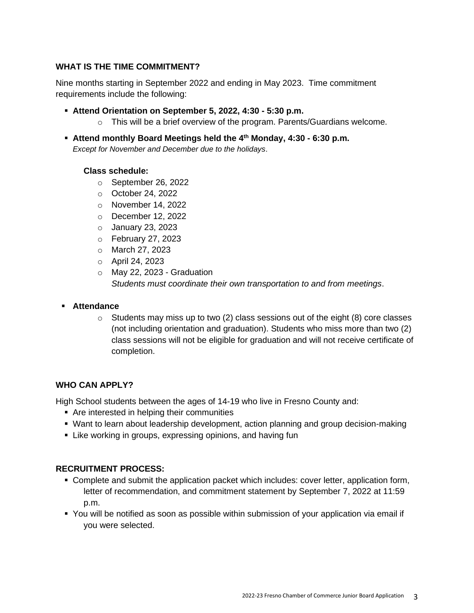#### **WHAT IS THE TIME COMMITMENT?**

Nine months starting in September 2022 and ending in May 2023. Time commitment requirements include the following:

- **Attend Orientation on September 5, 2022, 4:30 - 5:30 p.m.**
	- o This will be a brief overview of the program. Parents/Guardians welcome.
- **Attend monthly Board Meetings held the 4th Monday, 4:30 - 6:30 p.m.**  *Except for November and December due to the holidays*.

#### **Class schedule:**

- o September 26, 2022
- o October 24, 2022
- o November 14, 2022
- o December 12, 2022
- o January 23, 2023
- o February 27, 2023
- o March 27, 2023
- o April 24, 2023
- o May 22, 2023 Graduation *Students must coordinate their own transportation to and from meetings*.

#### ▪ **Attendance**

 $\circ$  Students may miss up to two (2) class sessions out of the eight (8) core classes (not including orientation and graduation). Students who miss more than two (2) class sessions will not be eligible for graduation and will not receive certificate of completion.

#### **WHO CAN APPLY?**

High School students between the ages of 14-19 who live in Fresno County and:

- Are interested in helping their communities
- Want to learn about leadership development, action planning and group decision-making
- **EXTE:** Like working in groups, expressing opinions, and having fun

#### **RECRUITMENT PROCESS:**

- **Complete and submit the application packet which includes: cover letter, application form,** letter of recommendation, and commitment statement by September 7, 2022 at 11:59 p.m.
- You will be notified as soon as possible within submission of your application via email if you were selected.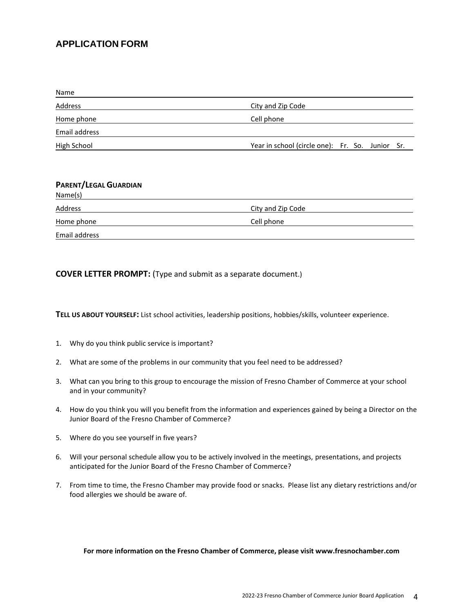#### **APPLICATION FORM**

| Name          |                                                 |  |  |  |
|---------------|-------------------------------------------------|--|--|--|
| Address       | City and Zip Code                               |  |  |  |
| Home phone    | Cell phone                                      |  |  |  |
| Email address |                                                 |  |  |  |
| High School   | Year in school (circle one): Fr. So. Junior Sr. |  |  |  |

| <b>PARENT/LEGAL GUARDIAN</b> |                   |  |
|------------------------------|-------------------|--|
| Name(s)                      |                   |  |
| Address                      | City and Zip Code |  |
| Home phone                   | Cell phone        |  |
| Email address                |                   |  |

**COVER LETTER PROMPT:** (Type and submit as a separate document.)

**TELL US ABOUT YOURSELF:** List school activities, leadership positions, hobbies/skills, volunteer experience.

- 1. Why do you think public service is important?
- 2. What are some of the problems in our community that you feel need to be addressed?
- 3. What can you bring to this group to encourage the mission of Fresno Chamber of Commerce at your school and in your community?
- 4. How do you think you will you benefit from the information and experiences gained by being a Director on the Junior Board of the Fresno Chamber of Commerce?
- 5. Where do you see yourself in five years?
- 6. Will your personal schedule allow you to be actively involved in the meetings, presentations, and projects anticipated for the Junior Board of the Fresno Chamber of Commerce?
- 7. From time to time, the Fresno Chamber may provide food or snacks. Please list any dietary restrictions and/or food allergies we should be aware of.

#### **For more information on the Fresno Chamber of Commerce, please visit www.fresnochamber.com**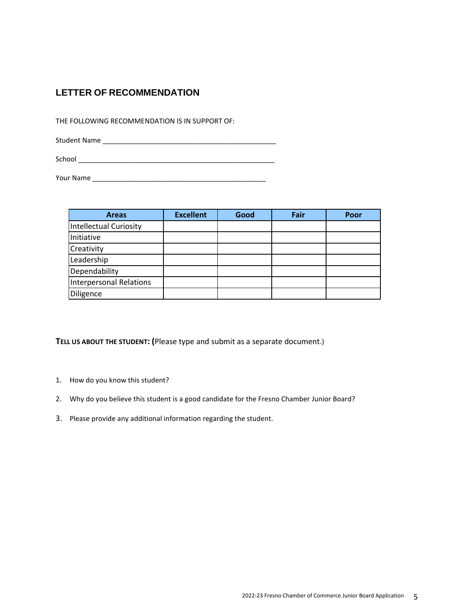### **LETTER OF RECOMMENDATION**

THE FOLLOWING RECOMMENDATION IS IN SUPPORT OF:

Student Name \_\_\_\_\_\_\_\_\_\_\_\_\_\_\_\_\_\_\_\_\_\_\_\_\_\_\_\_\_\_\_\_\_\_\_\_\_\_\_\_\_\_\_\_\_

 $School$ 

Your Name \_\_\_\_\_\_\_\_\_\_\_\_\_\_\_\_\_\_\_\_\_\_\_\_\_\_\_\_\_\_\_\_\_\_\_\_\_\_\_\_\_\_\_\_\_

| <b>Areas</b>                  | <b>Excellent</b> | Good | Fair | Poor |
|-------------------------------|------------------|------|------|------|
| <b>Intellectual Curiosity</b> |                  |      |      |      |
| Initiative                    |                  |      |      |      |
| Creativity                    |                  |      |      |      |
| Leadership                    |                  |      |      |      |
| Dependability                 |                  |      |      |      |
| Interpersonal Relations       |                  |      |      |      |
| Diligence                     |                  |      |      |      |

#### **TELL US ABOUT THE STUDENT: (**Please type and submit as a separate document.)

- 1. How do you know this student?
- 2. Why do you believe this student is a good candidate for the Fresno Chamber Junior Board?
- 3. Please provide any additional information regarding the student.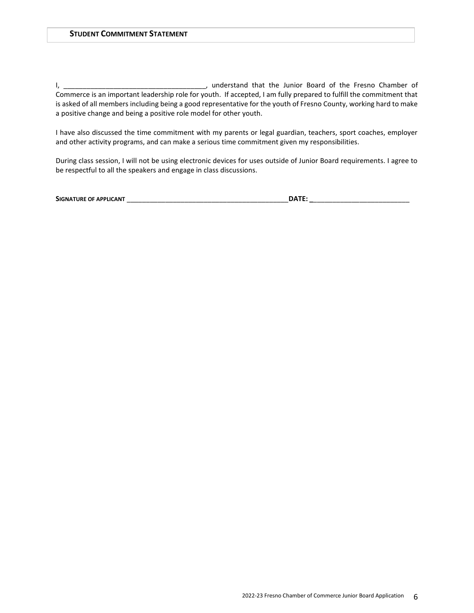I, \_\_\_\_\_\_\_\_\_\_\_\_\_\_\_\_\_\_\_\_\_\_\_\_\_\_\_\_\_\_\_\_\_\_\_\_\_, understand that the Junior Board of the Fresno Chamber of Commerce is an important leadership role for youth. If accepted, I am fully prepared to fulfill the commitment that is asked of all members including being a good representative for the youth of Fresno County, working hard to make a positive change and being a positive role model for other youth.

I have also discussed the time commitment with my parents or legal guardian, teachers, sport coaches, employer and other activity programs, and can make a serious time commitment given my responsibilities.

During class session, I will not be using electronic devices for uses outside of Junior Board requirements. I agree to be respectful to all the speakers and engage in class discussions.

| SIGNATURE OF APPLICANT | ־דמח |
|------------------------|------|
|------------------------|------|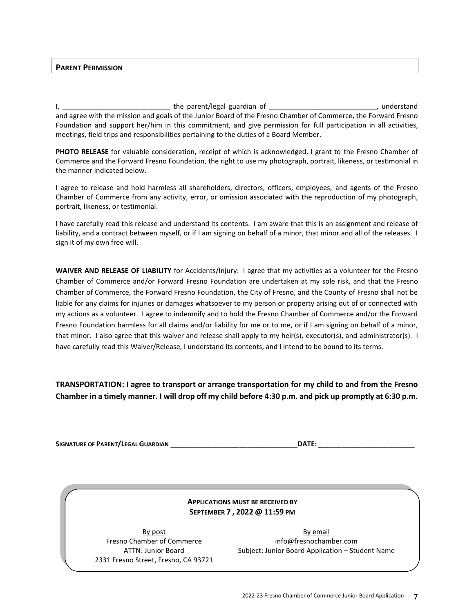#### **PARENT PERMISSION**

I, \_\_\_\_\_\_\_\_\_\_\_\_\_\_\_\_\_\_\_\_\_\_\_\_\_\_\_\_ the parent/legal guardian of \_\_\_\_\_\_\_\_\_\_\_\_\_\_\_\_\_\_\_\_\_\_\_\_\_\_\_\_, understand and agree with the mission and goals of the Junior Board of the Fresno Chamber of Commerce, the Forward Fresno Foundation and support her/him in this commitment, and give permission for full participation in all activities, meetings, field trips and responsibilities pertaining to the duties of a Board Member.

**PHOTO RELEASE** for valuable consideration, receipt of which is acknowledged, I grant to the Fresno Chamber of Commerce and the Forward Fresno Foundation, the right to use my photograph, portrait, likeness, or testimonial in the manner indicated below.

I agree to release and hold harmless all shareholders, directors, officers, employees, and agents of the Fresno Chamber of Commerce from any activity, error, or omission associated with the reproduction of my photograph, portrait, likeness, or testimonial.

I have carefully read this release and understand its contents. I am aware that this is an assignment and release of liability, and a contract between myself, or if I am signing on behalf of a minor, that minor and all of the releases. I sign it of my own free will.

**WAIVER AND RELEASE OF LIABILITY** for Accidents/Injury: I agree that my activities as a volunteer for the Fresno Chamber of Commerce and/or Forward Fresno Foundation are undertaken at my sole risk, and that the Fresno Chamber of Commerce, the Forward Fresno Foundation, the City of Fresno, and the County of Fresno shall not be liable for any claims for injuries or damages whatsoever to my person or property arising out of or connected with my actions as a volunteer. I agree to indemnify and to hold the Fresno Chamber of Commerce and/or the Forward Fresno Foundation harmless for all claims and/or liability for me or to me, or if I am signing on behalf of a minor, that minor. I also agree that this waiver and release shall apply to my heir(s), executor(s), and administrator(s). I have carefully read this Waiver/Release, I understand its contents, and I intend to be bound to its terms.

**TRANSPORTATION: I agree to transport or arrange transportation for my child to and from the Fresno Chamber in a timely manner. I will drop off my child before 4:30 p.m. and pick up promptly at 6:30 p.m.** 

**SIGNATURE OF PARENT/LEGAL GUARDIAN** \_\_\_\_\_\_\_\_\_\_\_\_\_\_\_\_\_\_\_\_\_\_\_\_\_\_\_\_\_\_\_\_\_**DATE: \_**\_\_\_\_\_\_\_\_\_\_\_\_\_\_\_\_\_\_\_\_\_\_\_\_

#### **APPLICATIONS MUST BE RECEIVED BY SEPTEMBER 7 , 2022 @ 11:59 PM**

By post Fresno Chamber of Commerce ATTN: Junior Board 2331 Fresno Street, Fresno, CA 93721

By email info@fresnochamber.com Subject: Junior Board Application – Student Name